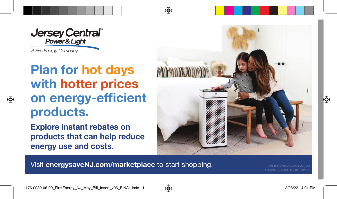**Jersey Central**<sup>®</sup><br>Power & Light

A FirstEnergy Company

⊕

## **Plan for hot days Plan for hot days with hotter prices on energy-efficient products.**

**Explore instant rebates on products that can help reduce energy use and costs.** 



Visit **energysaveNJ.com/marketplace** to start shopping.

176-0030-06-00 Rev 01 032022



⊕